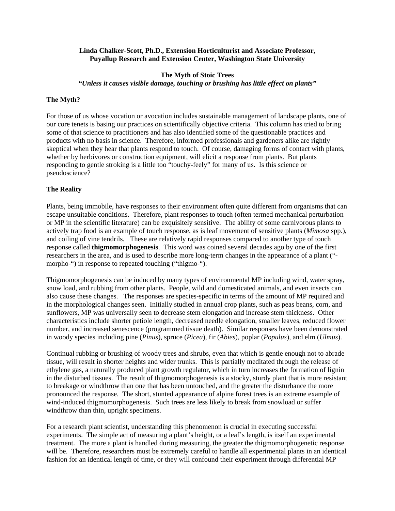#### **Linda Chalker-Scott, Ph.D., Extension Horticulturist and Associate Professor, Puyallup Research and Extension Center, Washington State University**

## **The Myth of Stoic Trees**  *"Unless it causes visible damage, touching or brushing has little effect on plants"*

## **The Myth?**

For those of us whose vocation or avocation includes sustainable management of landscape plants, one of our core tenets is basing our practices on scientifically objective criteria. This column has tried to bring some of that science to practitioners and has also identified some of the questionable practices and products with no basis in science. Therefore, informed professionals and gardeners alike are rightly skeptical when they hear that plants respond to touch. Of course, damaging forms of contact with plants, whether by herbivores or construction equipment, will elicit a response from plants. But plants responding to gentle stroking is a little too "touchy-feely" for many of us. Is this science or pseudoscience?

#### **The Reality**

Plants, being immobile, have responses to their environment often quite different from organisms that can escape unsuitable conditions. Therefore, plant responses to touch (often termed mechanical perturbation or MP in the scientific literature) can be exquisitely sensitive. The ability of some carnivorous plants to actively trap food is an example of touch response, as is leaf movement of sensitive plants (*Mimosa* spp.), and coiling of vine tendrils. These are relatively rapid responses compared to another type of touch response called **thigmomorphogenesis**. This word was coined several decades ago by one of the first researchers in the area, and is used to describe more long-term changes in the appearance of a plant (" morpho-") in response to repeated touching ("thigmo-").

Thigmomorphogenesis can be induced by many types of environmental MP including wind, water spray, snow load, and rubbing from other plants. People, wild and domesticated animals, and even insects can also cause these changes. The responses are species-specific in terms of the amount of MP required and in the morphological changes seen. Initially studied in annual crop plants, such as peas beans, corn, and sunflowers, MP was universally seen to decrease stem elongation and increase stem thickness. Other characteristics include shorter petiole length, decreased needle elongation, smaller leaves, reduced flower number, and increased senescence (programmed tissue death). Similar responses have been demonstrated in woody species including pine (*Pinus*), spruce (*Picea*), fir (*Abies*), poplar (*Populus*), and elm (*Ulmus*).

Continual rubbing or brushing of woody trees and shrubs, even that which is gentle enough not to abrade tissue, will result in shorter heights and wider trunks. This is partially meditated through the release of ethylene gas, a naturally produced plant growth regulator, which in turn increases the formation of lignin in the disturbed tissues. The result of thigmomorphogenesis is a stocky, sturdy plant that is more resistant to breakage or windthrow than one that has been untouched, and the greater the disturbance the more pronounced the response. The short, stunted appearance of alpine forest trees is an extreme example of wind-induced thigmomorphogenesis. Such trees are less likely to break from snowload or suffer windthrow than thin, upright specimens.

For a research plant scientist, understanding this phenomenon is crucial in executing successful experiments. The simple act of measuring a plant's height, or a leaf's length, is itself an experimental treatment. The more a plant is handled during measuring, the greater the thigmomorphogenetic response will be. Therefore, researchers must be extremely careful to handle all experimental plants in an identical fashion for an identical length of time, or they will confound their experiment through differential MP